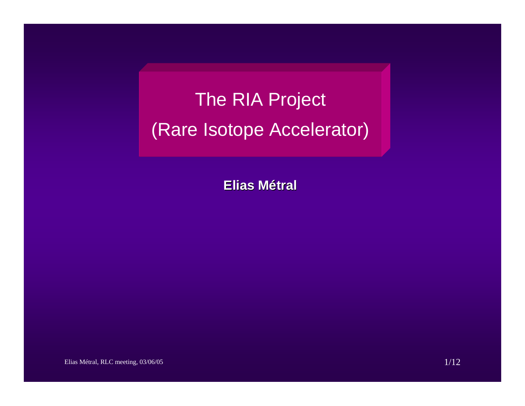# The RIA Project (Rare Isotope Accelerator)

**Elias Métral**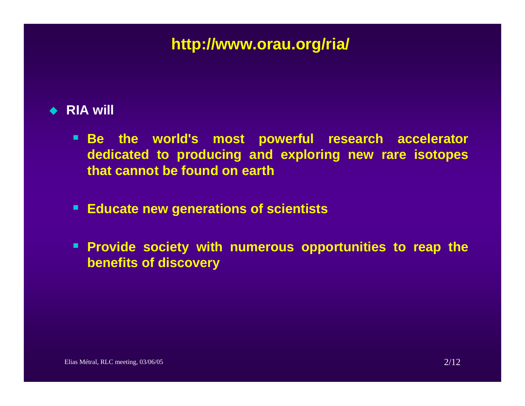## **http://www.orau.org/ria/**

## ◆ RIA will

- **Be the world's most powerful research accelerator dedicated to producing and exploring new rare isotopes that cannot be found on earth**
- $\blacksquare$ **Educate new generations of scientists**
- **Provide society with numerous opportunities to reap the benefits of discovery**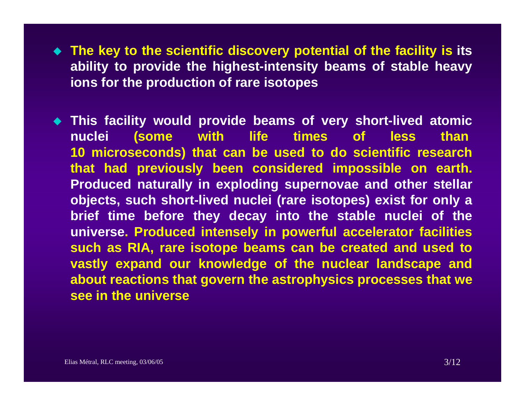- **The key to the scientific discovery potential of the facility is its ability to provide the highest-intensity beams of stable heavy ions for the production of rare isotopes**
- **This facility would provide beams of very short-lived atomic nuclei (some with life times of less than 10 microseconds) that can be used to do scientific research that had previously been considered impossible on earth. Produced naturally in exploding supernovae and other stellar objects, such short-lived nuclei (rare isotopes) exist for only a brief time before they decay into the stable nuclei of the universe. Produced intensely in powerful accelerator facilities such as RIA, rare isotope beams can be created and used to vastly expand our knowledge of the nuclear landscape and about reactions that govern the astrophysics processes that we see in the universe**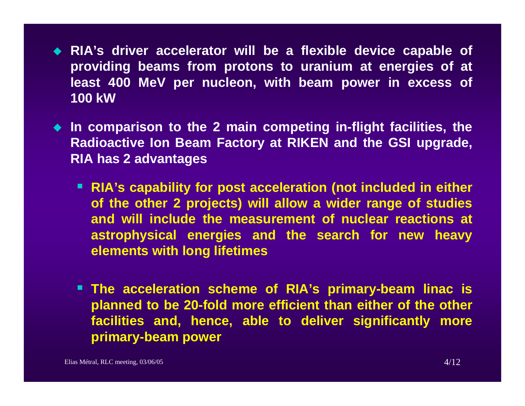- **RIA's driver accelerator will be a flexible device capable of providing beams from protons to uranium at energies of at least 400 MeV per nucleon, with beam power in excess of 100 kW**
- **In comparison to the 2 main competing in-flight facilities, the Radioactive Ion Beam Factory at RIKEN and the GSI upgrade, RIA has 2 advantages**
	- **RIA's capability for post acceleration (not included in either of the other 2 projects) will allow a wider range of studies and will include the measurement of nuclear reactions at astrophysical energies and the search for new heavy elements with long lifetimes**
	- **The acceleration scheme of RIA's primary-beam linac is planned to be 20-fold more efficient than either of the other facilities and, hence, able to deliver significantly more primary-beam power**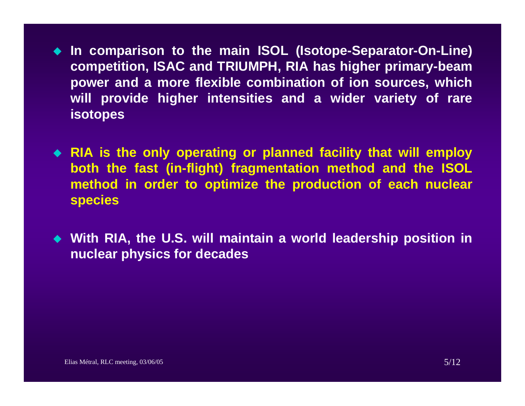**In comparison to the main ISOL (Isotope-Separator-On-Line) competition, ISAC and TRIUMPH, RIA has higher primary-beam power and a more flexible combination of ion sources, which will provide higher intensities and a wider variety of rare isotopes**

 **RIA is the only operating or planned facility that will employ both the fast (in-flight) fragmentation method and the ISOL method in order to optimize the production of each nuclear species**

 **With RIA, the U.S. will maintain a world leadership position in nuclear physics for decades**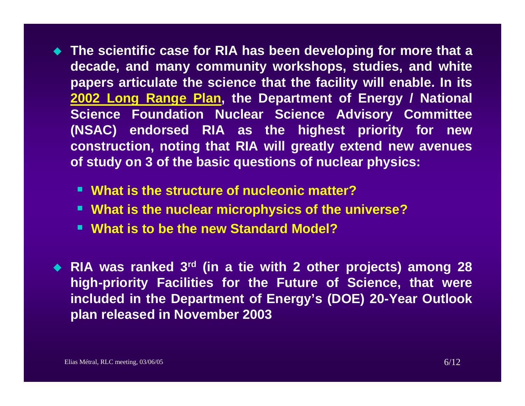- **The scientific case for RIA has been developing for more that a decade, and many community workshops, studies, and white papers articulate the science that the facility will enable. In its 2002 Long Range Plan, the Department of Energy / National Science Foundation Nuclear Science Advisory Committee (NSAC) endorsed RIA as the highest priority for new construction, noting that RIA will greatly extend new avenues of study on 3 of the basic questions of nuclear physics:**
	- **What is the structure of nucleonic matter?**
	- **What is the nuclear microphysics of the universe?**
	- **What is to be the new Standard Model?**
- **RIA was ranked 3rd (in a tie with 2 other projects) among 28 high-priority Facilities for the Future of Science, that were included in the Department of Energy's (DOE) 20-Year Outlook plan released in November 2003**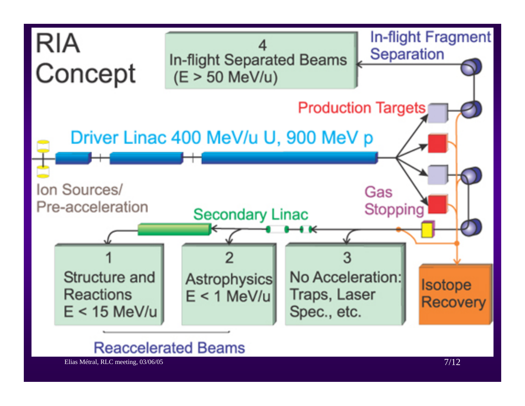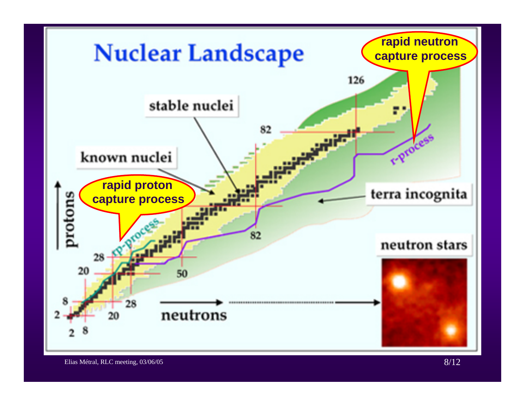

Elias Métral, RLC meeting, 03/06/05 8/12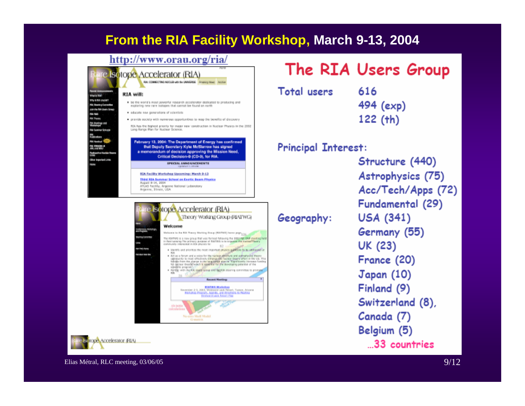## **From the RIA Facility Workshop, March 9-13, 2004**

### http://www.orau.org/ria/

### e Isotope Accelerator (RIA)

#### RA: COMMICTING NUCLEI with the UNIVERSIA Anward Hows Accider

#### RIA will:

**Viet is RW1 VTV & RA UNDER?** 

**CALCULAR** 

**M** Toyot

<u>V Antige est</u>

**Na Guarrow Grisoni** 

**Marian** 

.<br>Maar beginning Links

**Sit Massive Committee** 

on the RA Users Gray

- . Be the world's most powerful research accelerator dedicated to producing and exploring new rare isotopes that cannot be found on earth
- · oducate tww generations of scientists
- · gravide society with numerous opportunities to reap the benefits of discovery

RIA has the highest priority for major new construction in Nuclear Physics in the 2002. Long Range Plan for Nuclear Science

#### February 13, 2004: The Department of Energy has confirmed that Deputy Secretary Kyle McStarrow has signed a memorandum of decision approving the Mission Need, Critical Decision-0 (CD-0), for RIA.

SPECIAL ANNOUNCEMENTS

#### RIA Facility Workshop Upcoming: March 9-13 Third RIA Summer School on Exotic Beam Physics August 8-14, 2004 ATLAS Facility, Argenne National Laboratory<br>Argenne, 31neie, USA



ope Accelerator (RIA)

## The RIA Users Group

**Total users** 

Geography:

616 494 (exp)  $122$  (th)

### **Principal Interest:**

Structure (440) Astrophysics (75) Acc/Tech/Apps (72) Fundamental (29) **USA (341)** Germany (55) UK (23) France (20) Japan (10) Finland (9) Switzerland (8), Canada (7) Belgium (5) ...33 countries

Elias Métral, RLC meeting, 03/06/05  $9/12$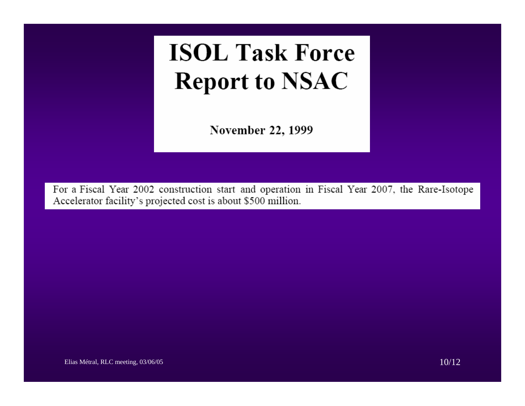# **ISOL Task Force Report to NSAC**

November 22, 1999

For a Fiscal Year 2002 construction start and operation in Fiscal Year 2007, the Rare-Isotope Accelerator facility's projected cost is about \$500 million.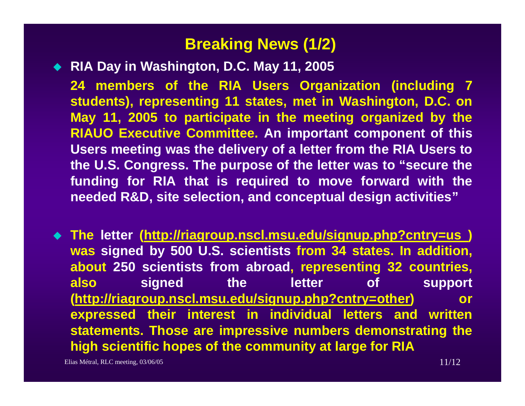## **Breaking News (1/2)**

**RIA Day in Washington, D.C. May 11, 2005** 

**24 members of the RIA Users Organization (including 7 students), representing 11 states, met in Washington, D.C. on May 11, 2005 to participate in the meeting organized by the RIAUO Executive Committee. An important component of this Users meeting was the delivery of a letter from the RIA Users to the U.S. Congress. The purpose of the letter was to "secure the funding for RIA that is required to move forward with the needed R&D, site selection, and conceptual design activities"**

 **The letter (http://riagroup.nscl.msu.edu/signup.php?cntry=us ) was signed by 500 U.S. scientists from 34 states. In addition, about 250 scientists from abroad, representing 32 countries, also signed the letter of support (http://riagroup.nscl.msu.edu/signup.php?cntry=other) or expressed their interest in individual letters and written statements. Those are impressive numbers demonstrating the high scientific hopes of the community at large for RIA**

Elias Métral, RLC meeting,  $03/06/05$  11/12